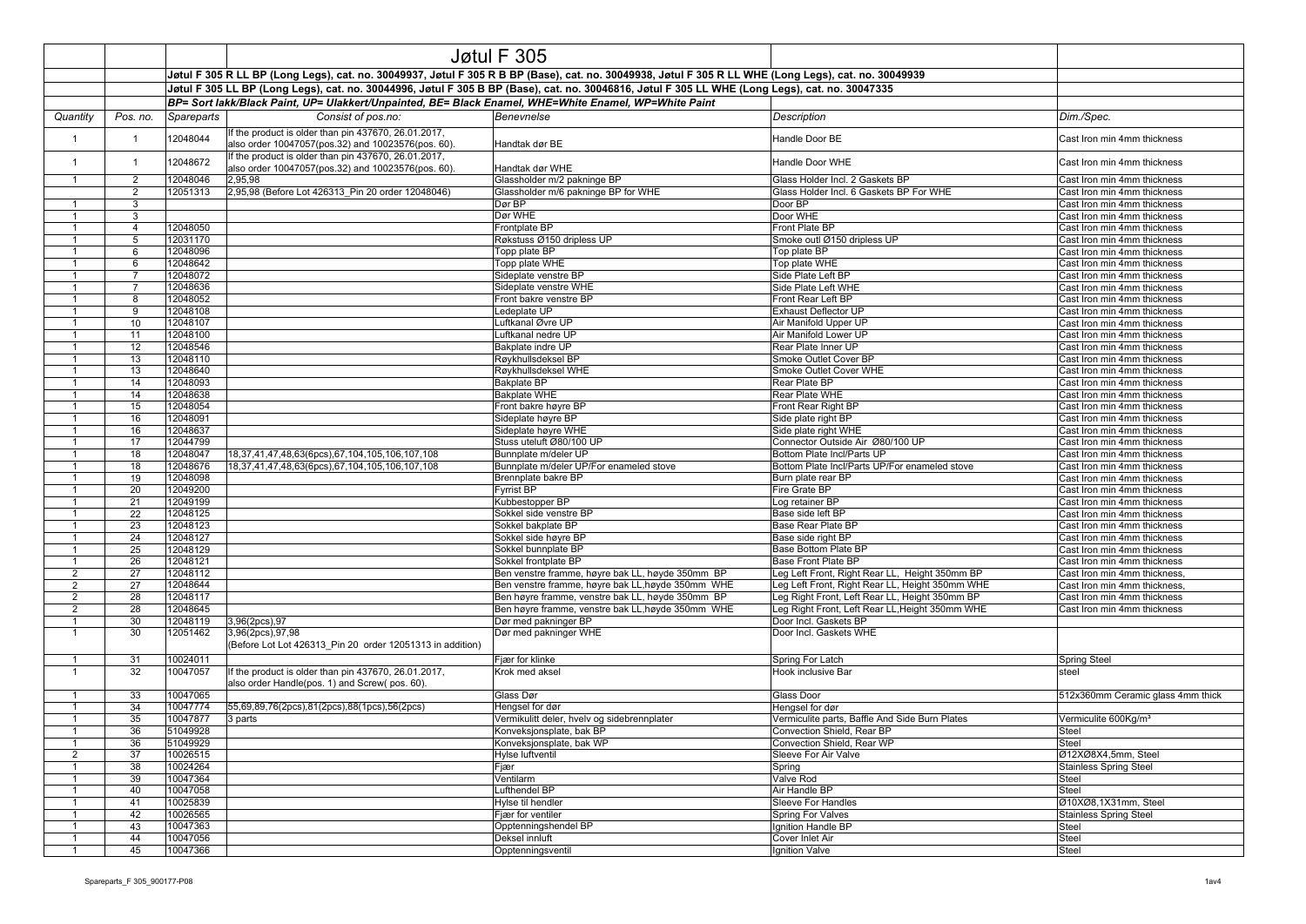|                                |                     | Jøtul F 305                                                                                                                                                                                                                                                                                              |                                                           |                                                                          |                                                                              |                                                            |  |
|--------------------------------|---------------------|----------------------------------------------------------------------------------------------------------------------------------------------------------------------------------------------------------------------------------------------------------------------------------------------------------|-----------------------------------------------------------|--------------------------------------------------------------------------|------------------------------------------------------------------------------|------------------------------------------------------------|--|
|                                |                     |                                                                                                                                                                                                                                                                                                          |                                                           |                                                                          |                                                                              |                                                            |  |
|                                |                     | Jøtul F 305 R LL BP (Long Legs), cat. no. 30049937, Jøtul F 305 R B BP (Base), cat. no. 30049938, Jøtul F 305 R LL WHE (Long Legs), cat. no. 30049939<br>Jøtul F 305 LL BP (Long Legs), cat. no. 30044996, Jøtul F 305 B BP (Base), cat. no. 30046816, Jøtul F 305 LL WHE (Long Legs), cat. no. 30047335 |                                                           |                                                                          |                                                                              |                                                            |  |
|                                |                     | BP= Sort lakk/Black Paint, UP= Ulakkert/Unpainted, BE= Black Enamel, WHE=White Enamel, WP=White Paint                                                                                                                                                                                                    |                                                           |                                                                          |                                                                              |                                                            |  |
| Quantity                       | Pos. no.            | Spareparts                                                                                                                                                                                                                                                                                               | Consist of pos.no:                                        | Benevnelse                                                               | <b>Description</b>                                                           | Dim./Spec.                                                 |  |
|                                |                     |                                                                                                                                                                                                                                                                                                          | If the product is older than pin 437670, 26.01.2017,      |                                                                          |                                                                              |                                                            |  |
| $\overline{1}$                 | $\overline{1}$      | 12048044                                                                                                                                                                                                                                                                                                 | also order 10047057(pos.32) and 10023576(pos. 60).        | Handtak dør BE                                                           | Handle Door BE                                                               | Cast Iron min 4mm thickness                                |  |
|                                |                     |                                                                                                                                                                                                                                                                                                          | If the product is older than pin 437670, 26.01.2017,      |                                                                          |                                                                              |                                                            |  |
| $\mathbf{1}$                   | $\mathbf{1}$        | 12048672                                                                                                                                                                                                                                                                                                 | also order 10047057(pos.32) and 10023576(pos. 60).        | Handtak dør WHE                                                          | Handle Door WHE                                                              | Cast Iron min 4mm thickness                                |  |
| $\mathbf{1}$                   | 2                   | 12048046                                                                                                                                                                                                                                                                                                 | 2.95.98                                                   | Glassholder m/2 pakninge BP                                              | Glass Holder Incl. 2 Gaskets BP                                              | Cast Iron min 4mm thickness                                |  |
|                                | 2                   | 12051313                                                                                                                                                                                                                                                                                                 | 2,95,98 (Before Lot 426313 Pin 20 order 12048046)         | Glassholder m/6 pakninge BP for WHE                                      | Glass Holder Incl. 6 Gaskets BP For WHE                                      | Cast Iron min 4mm thickness                                |  |
| $\mathbf{1}$                   | 3                   |                                                                                                                                                                                                                                                                                                          |                                                           | Dør BP<br>Dør WHE                                                        | Door BP<br>Door WHE                                                          | Cast Iron min 4mm thickness                                |  |
| $\mathbf{1}$                   | 3<br>$\overline{4}$ | 12048050                                                                                                                                                                                                                                                                                                 |                                                           | Frontplate BP                                                            | Front Plate BP                                                               | Cast Iron min 4mm thickness<br>Cast Iron min 4mm thickness |  |
| $\mathbf{1}$                   | 5                   | 12031170                                                                                                                                                                                                                                                                                                 |                                                           | Røkstuss Ø150 dripless UP                                                | Smoke outl Ø150 dripless UP                                                  | Cast Iron min 4mm thickness                                |  |
|                                | 6                   | 12048096                                                                                                                                                                                                                                                                                                 |                                                           | Topp plate BP                                                            | Top plate BP                                                                 | Cast Iron min 4mm thickness                                |  |
| -1                             | 6                   | 12048642                                                                                                                                                                                                                                                                                                 |                                                           | Topp plate WHE                                                           | Top plate WHE                                                                | Cast Iron min 4mm thickness                                |  |
|                                | $\overline{7}$      | 12048072                                                                                                                                                                                                                                                                                                 |                                                           | Sideplate venstre BP                                                     | Side Plate Left BP                                                           | Cast Iron min 4mm thickness                                |  |
| $\mathbf{1}$                   | $\overline{7}$      | 12048636                                                                                                                                                                                                                                                                                                 |                                                           | Sideplate venstre WHE                                                    | Side Plate Left WHE                                                          | Cast Iron min 4mm thickness                                |  |
| $\mathbf{1}$                   | 8                   | 12048052                                                                                                                                                                                                                                                                                                 |                                                           | Front bakre venstre BP                                                   | Front Rear Left BP                                                           | Cast Iron min 4mm thickness                                |  |
| $\mathbf{1}$                   | 9                   | 12048108                                                                                                                                                                                                                                                                                                 |                                                           | Ledeplate UP                                                             | <b>Exhaust Deflector UP</b>                                                  | Cast Iron min 4mm thickness                                |  |
| $\mathbf{1}$<br>$\mathbf{1}$   | 10                  | 12048107                                                                                                                                                                                                                                                                                                 |                                                           | Luftkanal Øvre UP                                                        | Air Manifold Upper UP                                                        | Cast Iron min 4mm thickness                                |  |
| $\mathbf{1}$                   | 11<br>12            | 12048100<br>12048546                                                                                                                                                                                                                                                                                     |                                                           | Luftkanal nedre UP<br>Bakplate indre UP                                  | Air Manifold Lower UP<br>Rear Plate Inner UP                                 | Cast Iron min 4mm thickness<br>Cast Iron min 4mm thickness |  |
| $\overline{1}$                 | 13                  | 12048110                                                                                                                                                                                                                                                                                                 |                                                           | Røykhullsdeksel BP                                                       | Smoke Outlet Cover BP                                                        | Cast Iron min 4mm thickness                                |  |
| $\mathbf{1}$                   | 13                  | 12048640                                                                                                                                                                                                                                                                                                 |                                                           | Røykhullsdeksel WHE                                                      | Smoke Outlet Cover WHE                                                       | Cast Iron min 4mm thickness                                |  |
| $\mathbf{1}$                   | 14                  | 12048093                                                                                                                                                                                                                                                                                                 |                                                           | <b>Bakplate BP</b>                                                       | Rear Plate BP                                                                | Cast Iron min 4mm thickness                                |  |
| $\mathbf{1}$                   | 14                  | 12048638                                                                                                                                                                                                                                                                                                 |                                                           | <b>Bakplate WHE</b>                                                      | Rear Plate WHE                                                               | Cast Iron min 4mm thickness                                |  |
|                                | 15                  | 12048054                                                                                                                                                                                                                                                                                                 |                                                           | Front bakre høyre BP                                                     | Front Rear Right BP                                                          | Cast Iron min 4mm thickness                                |  |
| $\mathbf{1}$                   | 16                  | 12048091                                                                                                                                                                                                                                                                                                 |                                                           | Sideplate høyre BP                                                       | Side plate right BP                                                          | Cast Iron min 4mm thickness                                |  |
| $\overline{1}$                 | 16                  | 12048637                                                                                                                                                                                                                                                                                                 |                                                           | Sideplate høyre WHE                                                      | Side plate right WHE                                                         | Cast Iron min 4mm thickness                                |  |
| $\overline{1}$                 | 17                  | 12044799                                                                                                                                                                                                                                                                                                 |                                                           | Stuss uteluft Ø80/100 UP                                                 | Connector Outside Air Ø80/100 UP                                             | Cast Iron min 4mm thickness                                |  |
| -1<br>$\mathbf{1}$             | 18<br>18            | 12048047<br>12048676                                                                                                                                                                                                                                                                                     | 18,37,41,47,48,63(6pcs),67,104,105,106,107,108            | Bunnplate m/deler UP<br>Bunnplate m/deler UP/For enameled stove          | Bottom Plate Incl/Parts UP<br>Bottom Plate Incl/Parts UP/For enameled stove  | Cast Iron min 4mm thickness<br>Cast Iron min 4mm thickness |  |
| $\mathbf{1}$                   | 19                  | 12048098                                                                                                                                                                                                                                                                                                 | 18,37,41,47,48,63(6pcs),67,104,105,106,107,108            | Brennplate bakre BP                                                      | Burn plate rear BP                                                           | Cast Iron min 4mm thickness                                |  |
|                                | 20                  | 12049200                                                                                                                                                                                                                                                                                                 |                                                           | <b>Fyrrist BP</b>                                                        | Fire Grate BP                                                                | Cast Iron min 4mm thickness                                |  |
| $\mathbf{1}$                   | 21                  | 12049199                                                                                                                                                                                                                                                                                                 |                                                           | Kubbestopper BP                                                          | Log retainer BP                                                              | Cast Iron min 4mm thickness                                |  |
|                                | 22                  | 12048125                                                                                                                                                                                                                                                                                                 |                                                           | Sokkel side venstre BP                                                   | Base side left BP                                                            | Cast Iron min 4mm thickness                                |  |
| $\overline{1}$                 | 23                  | 12048123                                                                                                                                                                                                                                                                                                 |                                                           | Sokkel bakplate BP                                                       | Base Rear Plate BP                                                           | Cast Iron min 4mm thickness                                |  |
| -1                             | 24                  | 12048127                                                                                                                                                                                                                                                                                                 |                                                           | Sokkel side høyre BP                                                     | Base side right BP                                                           | Cast Iron min 4mm thickness                                |  |
| $\overline{1}$                 | 25                  | 12048129                                                                                                                                                                                                                                                                                                 |                                                           | Sokkel bunnplate BP                                                      | Base Bottom Plate BP                                                         | Cast Iron min 4mm thickness                                |  |
| -1<br>$\overline{2}$           | 26<br>27            | 12048121<br>12048112                                                                                                                                                                                                                                                                                     |                                                           | Sokkel frontplate BP<br>Ben venstre framme, høyre bak LL, høyde 350mm BP | <b>Base Front Plate BP</b><br>Leg Left Front, Right Rear LL, Height 350mm BP | Cast Iron min 4mm thickness<br>Cast Iron min 4mm thickness |  |
| 2                              | 27                  | 12048644                                                                                                                                                                                                                                                                                                 |                                                           | Ben venstre framme, høyre bak LL, høyde 350mm WHE                        | Leg Left Front, Right Rear LL, Height 350mm WHE                              | Cast Iron min 4mm thickness                                |  |
| $\overline{2}$                 | 28                  | 12048117                                                                                                                                                                                                                                                                                                 |                                                           | Ben høyre framme, venstre bak LL, høyde 350mm BP                         | Leg Right Front, Left Rear LL, Height 350mm BP                               | Cast Iron min 4mm thickness                                |  |
| 2                              | 28                  | 12048645                                                                                                                                                                                                                                                                                                 |                                                           | Ben høyre framme, venstre bak LL, høyde 350mm WHE                        | Leg Right Front, Left Rear LL, Height 350mm WHE                              | Cast Iron min 4mm thickness                                |  |
| $\overline{1}$                 | 30                  | 12048119                                                                                                                                                                                                                                                                                                 | 3,96(2pcs),97                                             | Dør med pakninger BP                                                     | Door Incl. Gaskets BP                                                        |                                                            |  |
| $\mathbf{1}$                   | 30                  | 12051462                                                                                                                                                                                                                                                                                                 | 3,96(2pcs),97,98                                          | Dør med pakninger WHE                                                    | Door Incl. Gaskets WHE                                                       |                                                            |  |
|                                |                     |                                                                                                                                                                                                                                                                                                          | (Before Lot Lot 426313 Pin 20 order 12051313 in addition) |                                                                          |                                                                              |                                                            |  |
| -1                             | 31                  | 10024011                                                                                                                                                                                                                                                                                                 |                                                           | Fiær for klinke                                                          | Spring For Latch                                                             | <b>Spring Steel</b>                                        |  |
| $\mathbf{1}$                   | 32                  | 10047057                                                                                                                                                                                                                                                                                                 | If the product is older than pin 437670, 26.01.2017,      | Krok med aksel                                                           | Hook inclusive Bar                                                           | steel                                                      |  |
|                                |                     |                                                                                                                                                                                                                                                                                                          | also order Handle(pos. 1) and Screw(pos. 60).             |                                                                          |                                                                              |                                                            |  |
| $\mathbf{1}$<br>$\overline{1}$ | 33                  | 10047065                                                                                                                                                                                                                                                                                                 |                                                           | Glass Dør                                                                | Glass Door                                                                   | 512x360mm Ceramic glass 4mm thick                          |  |
| $\overline{1}$                 | 34<br>35            | 10047774<br>10047877                                                                                                                                                                                                                                                                                     | 55,69,89,76(2pcs),81(2pcs),88(1pcs),56(2pcs)<br>3 parts   | Hengsel for dør<br>Vermikulitt deler, hvelv og sidebrennplater           | Hengsel for dør<br>Vermiculite parts, Baffle And Side Burn Plates            | Vermiculite 600Kg/m <sup>3</sup>                           |  |
|                                | 36                  | 51049928                                                                                                                                                                                                                                                                                                 |                                                           | Konveksjonsplate, bak BP                                                 | Convection Shield, Rear BP                                                   | <b>Steel</b>                                               |  |
|                                | 36                  | 51049929                                                                                                                                                                                                                                                                                                 |                                                           | Konveksjonsplate, bak WP                                                 | Convection Shield, Rear WP                                                   | Steel                                                      |  |
| $\overline{2}$                 | 37                  | 10026515                                                                                                                                                                                                                                                                                                 |                                                           | <b>Hylse luftventil</b>                                                  | Sleeve For Air Valve                                                         | Ø12XØ8X4,5mm, Steel                                        |  |
| $\mathbf{1}$                   | 38                  | 10024264                                                                                                                                                                                                                                                                                                 |                                                           | Fjær                                                                     | Spring                                                                       | <b>Stainless Spring Steel</b>                              |  |
|                                | 39                  | 10047364                                                                                                                                                                                                                                                                                                 |                                                           | Ventilarm                                                                | Valve Rod                                                                    | Steel                                                      |  |
| $\mathbf{1}$                   | 40                  | 10047058                                                                                                                                                                                                                                                                                                 |                                                           | Lufthendel BP                                                            | Air Handle BP                                                                | Steel                                                      |  |
| -1                             | 41                  | 10025839                                                                                                                                                                                                                                                                                                 |                                                           | Hylse til hendler                                                        | Sleeve For Handles                                                           | Ø10XØ8,1X31mm, Steel                                       |  |
| $\mathbf{1}$                   | 42                  | 10026565                                                                                                                                                                                                                                                                                                 |                                                           | Fjær for ventiler                                                        | <b>Spring For Valves</b>                                                     | <b>Stainless Spring Steel</b>                              |  |
| $\mathbf{1}$<br>$\mathbf{1}$   | 43<br>44            | 10047363<br>10047056                                                                                                                                                                                                                                                                                     |                                                           | Opptenningshendel BP<br>Deksel innluft                                   | Ignition Handle BP<br>Cover Inlet Air                                        | Steel<br><b>Steel</b>                                      |  |
| $\mathbf{1}$                   | 45                  | 10047366                                                                                                                                                                                                                                                                                                 |                                                           | Opptenningsventil                                                        | Ignition Valve                                                               | Steel                                                      |  |
|                                |                     |                                                                                                                                                                                                                                                                                                          |                                                           |                                                                          |                                                                              |                                                            |  |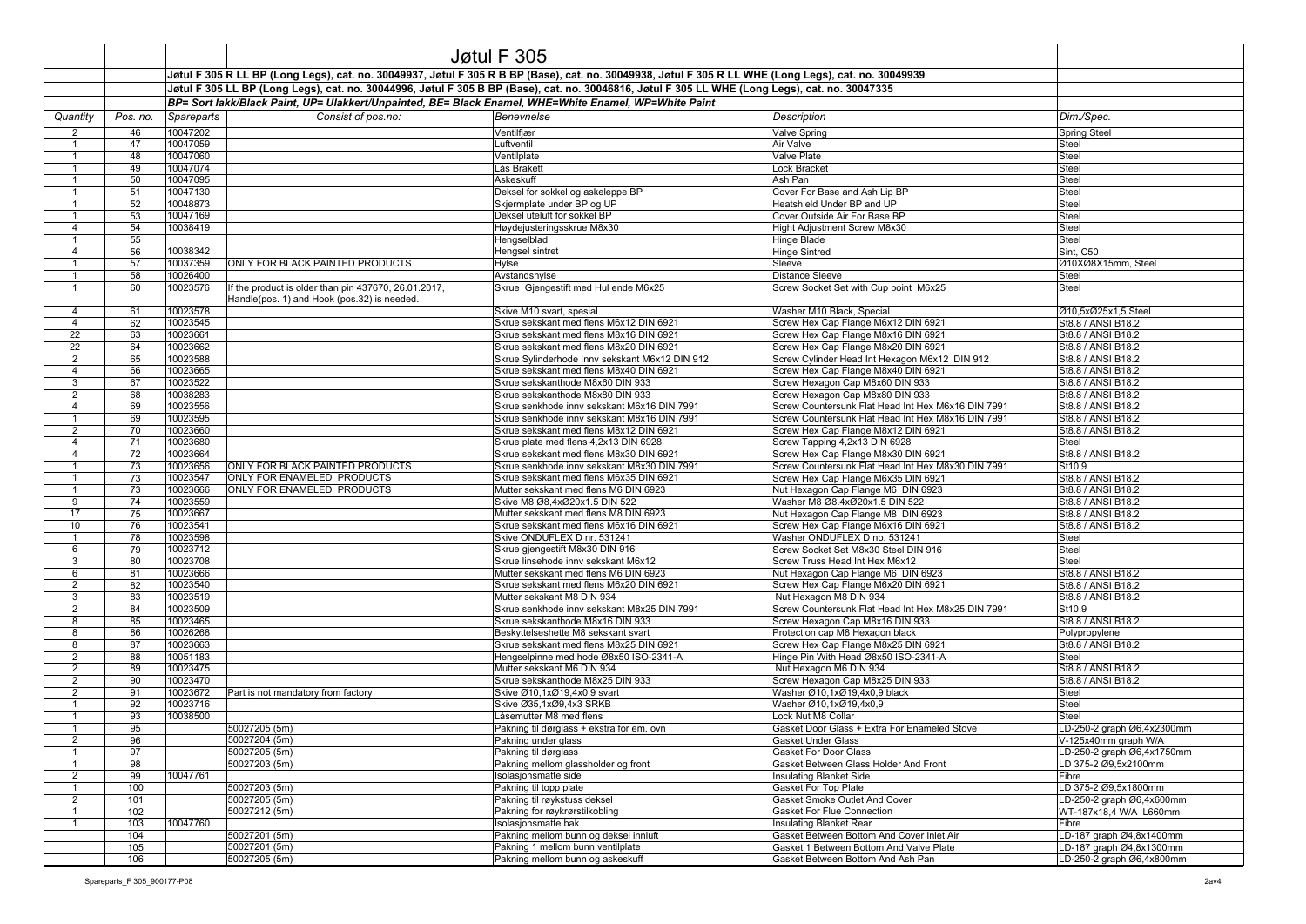|                                  |            |                                                                                                                                                       |                                                                                                     | Jøtul F 305                                                                 |                                                                      |                                                   |
|----------------------------------|------------|-------------------------------------------------------------------------------------------------------------------------------------------------------|-----------------------------------------------------------------------------------------------------|-----------------------------------------------------------------------------|----------------------------------------------------------------------|---------------------------------------------------|
|                                  |            | Jøtul F 305 R LL BP (Long Legs), cat. no. 30049937, Jøtul F 305 R B BP (Base), cat. no. 30049938, Jøtul F 305 R LL WHE (Long Legs), cat. no. 30049939 |                                                                                                     |                                                                             |                                                                      |                                                   |
|                                  |            | Jøtul F 305 LL BP (Long Legs), cat. no. 30044996, Jøtul F 305 B BP (Base), cat. no. 30046816, Jøtul F 305 LL WHE (Long Legs), cat. no. 30047335       |                                                                                                     |                                                                             |                                                                      |                                                   |
|                                  |            | BP= Sort lakk/Black Paint, UP= Ulakkert/Unpainted, BE= Black Enamel, WHE=White Enamel, WP=White Paint                                                 |                                                                                                     |                                                                             |                                                                      |                                                   |
| Quantity                         | Pos. no.   | Spareparts                                                                                                                                            | Dim./Spec.                                                                                          |                                                                             |                                                                      |                                                   |
|                                  |            |                                                                                                                                                       | Consist of pos.no:                                                                                  | Benevnelse                                                                  | Description                                                          |                                                   |
| 2<br>$\mathbf{1}$                | 46<br>47   | 10047202<br>10047059                                                                                                                                  |                                                                                                     | Ventilfjær<br>Luftventil                                                    | Valve Spring<br>Air Valve                                            | <b>Spring Steel</b><br>Steel                      |
| $\overline{1}$                   | 48         | 10047060                                                                                                                                              |                                                                                                     | Ventilplate                                                                 | Valve Plate                                                          | Steel                                             |
| $\mathbf{1}$                     | 49         | 10047074                                                                                                                                              |                                                                                                     | Lås Brakett                                                                 | Lock Bracket                                                         | Steel                                             |
| $\overline{1}$                   | 50         | 10047095                                                                                                                                              |                                                                                                     | Askeskuff                                                                   | Ash Pan                                                              | Steel                                             |
| $\mathbf 1$                      | 51         | 10047130                                                                                                                                              |                                                                                                     | Deksel for sokkel og askeleppe BP                                           | Cover For Base and Ash Lip BP                                        | Steel                                             |
| $\overline{1}$                   | 52         | 10048873                                                                                                                                              |                                                                                                     | Skjermplate under BP og UP                                                  | Heatshield Under BP and UP                                           | Steel                                             |
| $\overline{1}$                   | 53         | 10047169                                                                                                                                              |                                                                                                     | Deksel uteluft for sokkel BP                                                | Cover Outside Air For Base BP                                        | Steel                                             |
| $\overline{4}$<br>$\overline{1}$ | 54<br>55   | 10038419                                                                                                                                              |                                                                                                     | Høydejusteringsskrue M8x30<br>Hengselblad                                   | Hight Adjustment Screw M8x30                                         | Steel<br>Steel                                    |
| $\overline{4}$                   | 56         | 10038342                                                                                                                                              |                                                                                                     | Hengsel sintret                                                             | Hinge Blade<br>Hinge Sintred                                         | Sint, C50                                         |
| $\overline{1}$                   | 57         | 10037359                                                                                                                                              | ONLY FOR BLACK PAINTED PRODUCTS                                                                     | <b>Hylse</b>                                                                | Sleeve                                                               | Ø10XØ8X15mm, Steel                                |
| $\overline{1}$                   | 58         | 10026400                                                                                                                                              |                                                                                                     | Avstandshylse                                                               | <b>Distance Sleeve</b>                                               | Steel                                             |
| $\overline{1}$                   | 60         | 10023576                                                                                                                                              | If the product is older than pin 437670, 26.01.2017,<br>Handle(pos. 1) and Hook (pos.32) is needed. | Skrue Gjengestift med Hul ende M6x25                                        | Screw Socket Set with Cup point M6x25                                | Steel                                             |
| $\overline{4}$                   | 61         | 10023578                                                                                                                                              |                                                                                                     | Skive M10 svart, spesial                                                    | Washer M10 Black, Special                                            | Ø10,5xØ25x1,5 Steel                               |
| $\overline{4}$                   | 62         | 10023545                                                                                                                                              |                                                                                                     | Skrue sekskant med flens M6x12 DIN 6921                                     | Screw Hex Cap Flange M6x12 DIN 6921                                  | St8.8 / ANSI B18.2                                |
| $\overline{22}$                  | 63         | 10023661                                                                                                                                              |                                                                                                     | Skrue sekskant med flens M8x16 DIN 6921                                     | Screw Hex Cap Flange M8x16 DIN 6921                                  | St8.8 / ANSI B18.2                                |
| 22                               | 64         | 10023662                                                                                                                                              |                                                                                                     | Skrue sekskant med flens M8x20 DIN 6921                                     | Screw Hex Cap Flange M8x20 DIN 6921                                  | St8.8 / ANSI B18.2                                |
| $\overline{2}$                   | 65         | 10023588                                                                                                                                              |                                                                                                     | Skrue Sylinderhode Innv sekskant M6x12 DIN 912                              | Screw Cylinder Head Int Hexagon M6x12 DIN 912                        | St8.8 / ANSI B18.2                                |
| $\overline{4}$<br>3              | 66<br>67   | 10023665<br>10023522                                                                                                                                  |                                                                                                     | Skrue sekskant med flens M8x40 DIN 6921<br>Skrue sekskanthode M8x60 DIN 933 | Screw Hex Cap Flange M8x40 DIN 6921                                  | St8.8 / ANSI B18.2<br>St8.8 / ANSI B18.2          |
| $\overline{2}$                   | 68         | 10038283                                                                                                                                              |                                                                                                     | Skrue sekskanthode M8x80 DIN 933                                            | Screw Hexagon Cap M8x60 DIN 933<br>Screw Hexagon Cap M8x80 DIN 933   | St8.8 / ANSI B18.2                                |
| $\overline{4}$                   | 69         | 10023556                                                                                                                                              |                                                                                                     | Skrue senkhode inny sekskant M6x16 DIN 7991                                 | Screw Countersunk Flat Head Int Hex M6x16 DIN 7991                   | St8.8 / ANSI B18.2                                |
| $\mathbf{1}$                     | 69         | 10023595                                                                                                                                              |                                                                                                     | Skrue senkhode innv sekskant M8x16 DIN 7991                                 | Screw Countersunk Flat Head Int Hex M8x16 DIN 7991                   | St8.8 / ANSI B18.2                                |
| $\overline{2}$                   | 70         | 10023660                                                                                                                                              |                                                                                                     | Skrue sekskant med flens M8x12 DIN 6921                                     | Screw Hex Cap Flange M8x12 DIN 6921                                  | St8.8 / ANSI B18.2                                |
| $\overline{4}$                   | 71         | 10023680                                                                                                                                              |                                                                                                     | Skrue plate med flens 4,2x13 DIN 6928                                       | Screw Tapping 4,2x13 DIN 6928                                        | Steel                                             |
| $\overline{4}$                   | 72         | 10023664                                                                                                                                              |                                                                                                     | Skrue sekskant med flens M8x30 DIN 6921                                     | Screw Hex Cap Flange M8x30 DIN 6921                                  | St8.8 / ANSI B18.2                                |
| $\mathbf 1$                      | 73         | 10023656                                                                                                                                              | ONLY FOR BLACK PAINTED PRODUCTS                                                                     | Skrue senkhode innv sekskant M8x30 DIN 7991                                 | Screw Countersunk Flat Head Int Hex M8x30 DIN 7991                   | St10.9                                            |
| $\overline{1}$<br>$\mathbf 1$    | 73         | 10023547                                                                                                                                              | ONLY FOR ENAMELED PRODUCTS<br>ONLY FOR ENAMELED PRODUCTS                                            | Skrue sekskant med flens M6x35 DIN 6921                                     | Screw Hex Cap Flange M6x35 DIN 6921                                  | St8.8 / ANSI B18.2                                |
| 9                                | 73<br>74   | 10023666<br>10023559                                                                                                                                  |                                                                                                     | Mutter sekskant med flens M6 DIN 6923<br>Skive M8 Ø8,4xØ20x1.5 DIN 522      | Nut Hexagon Cap Flange M6 DIN 6923<br>Washer M8 Ø8.4xØ20x1.5 DIN 522 | St8.8 / ANSI B18.2<br>St8.8 / ANSI B18.2          |
| 17                               | 75         | 10023667                                                                                                                                              |                                                                                                     | Mutter sekskant med flens M8 DIN 6923                                       | Nut Hexagon Cap Flange M8 DIN 6923                                   | St8.8 / ANSI B18.2                                |
| 10                               | 76         | 10023541                                                                                                                                              |                                                                                                     | Skrue sekskant med flens M6x16 DIN 6921                                     | Screw Hex Cap Flange M6x16 DIN 6921                                  | St8.8 / ANSI B18.2                                |
| $\overline{1}$                   | 78         | 10023598                                                                                                                                              |                                                                                                     | Skive ONDUFLEX D nr. 531241                                                 | Washer ONDUFLEX D no. 531241                                         | Steel                                             |
| 6                                | 79         | 10023712                                                                                                                                              |                                                                                                     | Skrue gjengestift M8x30 DIN 916                                             | Screw Socket Set M8x30 Steel DIN 916                                 | Steel                                             |
| 3                                | 80         | 10023708                                                                                                                                              |                                                                                                     | Skrue linsehode innv sekskant M6x12                                         | Screw Truss Head Int Hex M6x12                                       | Steel                                             |
| 6                                | 81         | 10023666                                                                                                                                              |                                                                                                     | Mutter sekskant med flens M6 DIN 6923                                       | Nut Hexagon Cap Flange M6 DIN 6923                                   | St8.8 / ANSI B18.2                                |
| $\overline{2}$<br>3              | 82<br>83   | 10023540<br>10023519                                                                                                                                  |                                                                                                     | Skrue sekskant med flens M6x20 DIN 6921<br>Mutter sekskant M8 DIN 934       | Screw Hex Cap Flange M6x20 DIN 6921<br>Nut Hexagon M8 DIN 934        | St8.8 / ANSI B18.2<br>St8.8 / ANSI B18.2          |
| $\overline{2}$                   | 84         | 10023509                                                                                                                                              |                                                                                                     | Skrue senkhode innv sekskant M8x25 DIN 7991                                 | Screw Countersunk Flat Head Int Hex M8x25 DIN 7991                   | St10.9                                            |
| 8                                | 85         | 10023465                                                                                                                                              |                                                                                                     | Skrue sekskanthode M8x16 DIN 933                                            | Screw Hexagon Cap M8x16 DIN 933                                      | St8.8 / ANSI B18.2                                |
| 8                                | 86         | 10026268                                                                                                                                              |                                                                                                     | Beskyttelseshette M8 sekskant svart                                         | Protection cap M8 Hexagon black                                      | Polypropylene                                     |
| 8                                | 87         | 10023663                                                                                                                                              |                                                                                                     | Skrue sekskant med flens M8x25 DIN 6921                                     | Screw Hex Cap Flange M8x25 DIN 6921                                  | St8.8 / ANSI B18.2                                |
| $\overline{2}$                   | 88         | 10051183                                                                                                                                              |                                                                                                     | Hengselpinne med hode Ø8x50 ISO-2341-A                                      | Hinge Pin With Head Ø8x50 ISO-2341-A                                 | Steel                                             |
| $\overline{2}$                   | 89         | 10023475                                                                                                                                              |                                                                                                     | Mutter sekskant M6 DIN 934                                                  | Nut Hexagon M6 DIN 934                                               | St8.8 / ANSI B18.2                                |
| 2<br>$\overline{2}$              | 90<br>91   | 10023470<br>10023672                                                                                                                                  | Part is not mandatory from factory                                                                  | Skrue sekskanthode M8x25 DIN 933<br>Skive Ø10.1xØ19.4x0.9 svart             | Screw Hexagon Cap M8x25 DIN 933<br>Washer Ø10,1xØ19,4x0,9 black      | St8.8 / ANSI B18.2<br>Steel                       |
| -1                               | 92         | 10023716                                                                                                                                              |                                                                                                     | Skive Ø35,1xØ9,4x3 SRKB                                                     | Washer Ø10,1xØ19,4x0,9                                               | Steel                                             |
| $\mathbf{1}$                     | 93         | 10038500                                                                                                                                              |                                                                                                     | Låsemutter M8 med flens                                                     | Lock Nut M8 Collar                                                   | Steel                                             |
| -1                               | 95         |                                                                                                                                                       | 50027205 (5m)                                                                                       | Pakning til dørglass + ekstra for em. ovn                                   | Gasket Door Glass + Extra For Enameled Stove                         | LD-250-2 graph Ø6,4x2300mm                        |
| 2                                | 96         |                                                                                                                                                       | 50027204 (5m)                                                                                       | Pakning under glass                                                         | Gasket Under Glass                                                   | V-125X40mm graph W/A                              |
| $\overline{1}$                   | 97         |                                                                                                                                                       | 50027205 (5m)                                                                                       | Pakning til dørglass                                                        | <b>Gasket For Door Glass</b>                                         | LD-250-2 graph Ø6,4x1750mm                        |
| $\mathbf{1}$                     | 98         |                                                                                                                                                       | 50027203 (5m)                                                                                       | Pakning mellom glassholder og front                                         | Gasket Between Glass Holder And Front                                | LD 375-2 Ø9,5x2100mm                              |
| $\overline{2}$<br>$\overline{1}$ | 99         | 10047761                                                                                                                                              | 50027203 (5m)                                                                                       | Isolasjonsmatte side<br>Pakning til topp plate                              | <b>Insulating Blanket Side</b>                                       | Fibre                                             |
| $\overline{2}$                   | 100<br>101 |                                                                                                                                                       | 50027205 (5m)                                                                                       | Pakning til røykstuss deksel                                                | Gasket For Top Plate<br>Gasket Smoke Outlet And Cover                | LD 375-2 Ø9,5x1800mm<br>LD-250-2 graph Ø6,4x600mm |
| $\overline{1}$                   | 102        |                                                                                                                                                       | 50027212 (5m)                                                                                       | Pakning for røykrørstilkobling                                              | Gasket For Flue Connection                                           | WT-187x18,4 W/A L660mm                            |
| $\overline{1}$                   | 103        | 10047760                                                                                                                                              |                                                                                                     | Isolasionsmatte bak                                                         | Insulating Blanket Rear                                              | Fibre                                             |
|                                  | 104        |                                                                                                                                                       | 50027201 (5m)                                                                                       | Pakning mellom bunn og deksel innluft                                       | Gasket Between Bottom And Cover Inlet Air                            | LD-187 graph Ø4,8x1400mm                          |
|                                  | 105        |                                                                                                                                                       | 50027201 (5m)                                                                                       | Pakning 1 mellom bunn ventilplate                                           | Gasket 1 Between Bottom And Valve Plate                              | LD-187 graph Ø4,8x1300mm                          |
|                                  | 106        |                                                                                                                                                       | 50027205 (5m)                                                                                       | Pakning mellom bunn og askeskuff                                            | Gasket Between Bottom And Ash Pan                                    | LD-250-2 graph Ø6,4x800mm                         |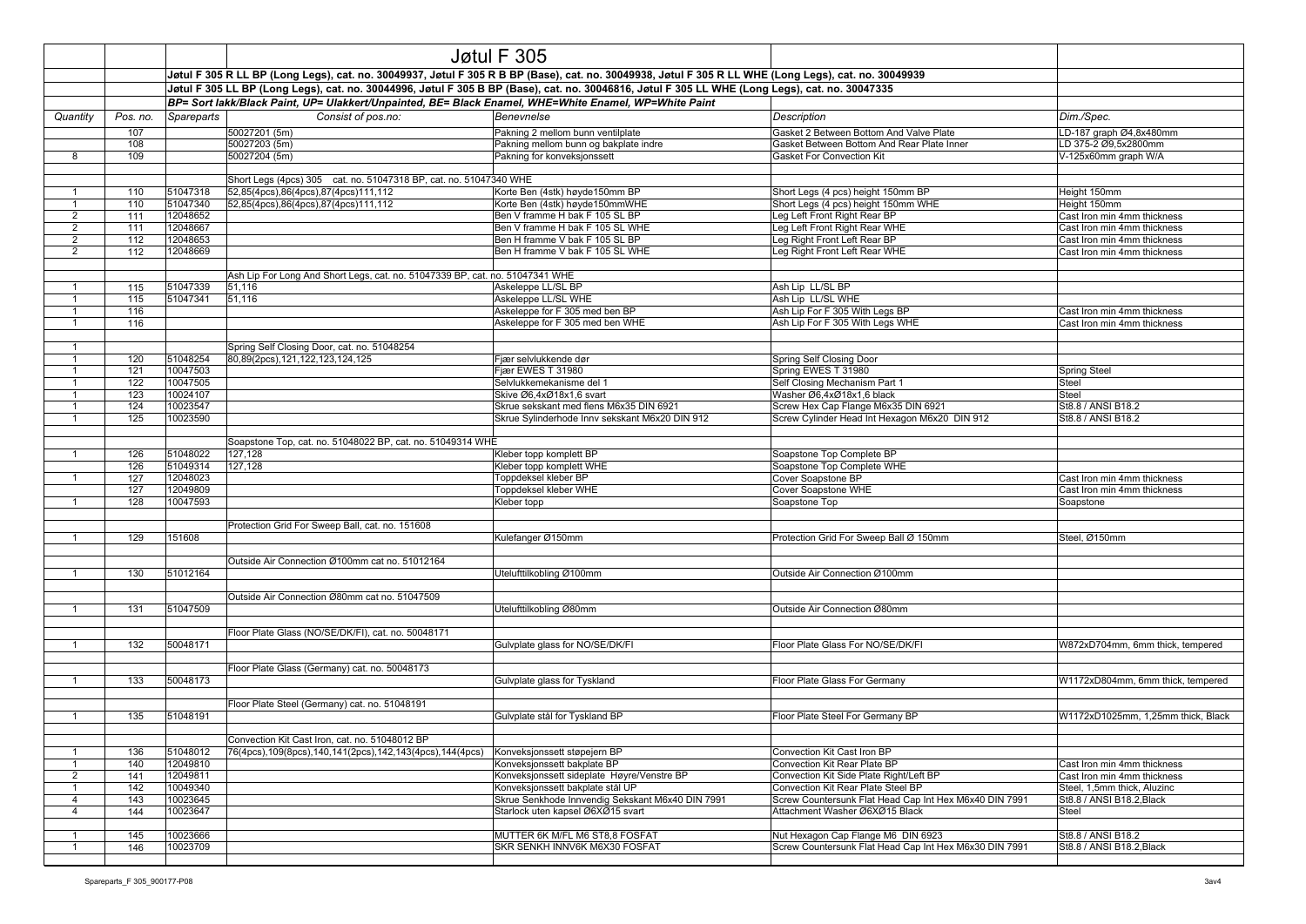|                                  |                                                                                                                                                                                                                                                          |                      |                                                                              | Jøtul F 305                                                                                                                                           |                                                                  |                                                            |
|----------------------------------|----------------------------------------------------------------------------------------------------------------------------------------------------------------------------------------------------------------------------------------------------------|----------------------|------------------------------------------------------------------------------|-------------------------------------------------------------------------------------------------------------------------------------------------------|------------------------------------------------------------------|------------------------------------------------------------|
|                                  |                                                                                                                                                                                                                                                          |                      |                                                                              | Jøtul F 305 R LL BP (Long Legs), cat. no. 30049937, Jøtul F 305 R B BP (Base), cat. no. 30049938, Jøtul F 305 R LL WHE (Long Legs), cat. no. 30049939 |                                                                  |                                                            |
|                                  |                                                                                                                                                                                                                                                          |                      |                                                                              |                                                                                                                                                       |                                                                  |                                                            |
|                                  | Jøtul F 305 LL BP (Long Legs), cat. no. 30044996, Jøtul F 305 B BP (Base), cat. no. 30046816, Jøtul F 305 LL WHE (Long Legs), cat. no. 30047335<br>BP= Sort lakk/Black Paint, UP= Ulakkert/Unpainted, BE= Black Enamel, WHE=White Enamel, WP=White Paint |                      |                                                                              |                                                                                                                                                       |                                                                  |                                                            |
| Quantity                         | Pos. no.                                                                                                                                                                                                                                                 | Spareparts           | Consist of pos.no:                                                           | Benevnelse                                                                                                                                            | Description                                                      | Dim./Spec.                                                 |
|                                  | 107                                                                                                                                                                                                                                                      |                      | 50027201 (5m)                                                                | Pakning 2 mellom bunn ventilplate                                                                                                                     | Gasket 2 Between Bottom And Valve Plate                          | LD-187 graph Ø4,8x480mm                                    |
|                                  | 108                                                                                                                                                                                                                                                      |                      | 50027203 (5m)                                                                | Pakning mellom bunn og bakplate indre                                                                                                                 | Gasket Between Bottom And Rear Plate Inner                       | LD 375-2 Ø9,5x2800mm                                       |
| 8                                | 109                                                                                                                                                                                                                                                      |                      | 50027204 (5m)                                                                | Pakning for konveksjonssett                                                                                                                           | Gasket For Convection Kit                                        | V-125x60mm graph W/A                                       |
|                                  |                                                                                                                                                                                                                                                          |                      |                                                                              |                                                                                                                                                       |                                                                  |                                                            |
|                                  |                                                                                                                                                                                                                                                          |                      | Short Legs (4pcs) 305 cat. no. 51047318 BP, cat. no. 51047340 WHE            |                                                                                                                                                       |                                                                  |                                                            |
| -1                               | 110                                                                                                                                                                                                                                                      | 51047318             | 52,85(4pcs),86(4pcs),87(4pcs)111,112                                         | Korte Ben (4stk) høyde150mm BP                                                                                                                        | Short Legs (4 pcs) height 150mm BP                               | Height 150mm                                               |
| $\mathbf{1}$                     | 110                                                                                                                                                                                                                                                      | 51047340             | 52,85(4pcs),86(4pcs),87(4pcs)111,112                                         | Korte Ben (4stk) høyde150mmWHE                                                                                                                        | Short Legs (4 pcs) height 150mm WHE                              | Height 150mm                                               |
| $\overline{2}$<br>$\overline{2}$ | 111<br>111                                                                                                                                                                                                                                               | 12048652<br>12048667 |                                                                              | Ben V framme H bak F 105 SL BP<br>Ben V framme H bak F 105 SL WHE                                                                                     | Leg Left Front Right Rear BP<br>Leg Left Front Right Rear WHE    | Cast Iron min 4mm thickness<br>Cast Iron min 4mm thickness |
| $\overline{2}$                   | 112                                                                                                                                                                                                                                                      | 12048653             |                                                                              | Ben H framme V bak F 105 SL BP                                                                                                                        | Leg Right Front Left Rear BP                                     | Cast Iron min 4mm thickness                                |
| 2                                | 112                                                                                                                                                                                                                                                      | 12048669             |                                                                              | Ben H framme V bak F 105 SL WHE                                                                                                                       | Leg Right Front Left Rear WHE                                    | Cast Iron min 4mm thickness                                |
|                                  |                                                                                                                                                                                                                                                          |                      |                                                                              |                                                                                                                                                       |                                                                  |                                                            |
|                                  |                                                                                                                                                                                                                                                          |                      | Ash Lip For Long And Short Legs, cat. no. 51047339 BP, cat. no. 51047341 WHE |                                                                                                                                                       |                                                                  |                                                            |
| $\mathbf{1}$                     | 115                                                                                                                                                                                                                                                      | 51047339             | 51,116                                                                       | Askeleppe LL/SL BP                                                                                                                                    | Ash Lip LL/SL BP                                                 |                                                            |
| $\mathbf{1}$                     | 115                                                                                                                                                                                                                                                      | 51047341             | 51,116                                                                       | Askeleppe LL/SL WHE                                                                                                                                   | Ash Lip LL/SL WHE                                                |                                                            |
| $\mathbf{1}$                     | 116                                                                                                                                                                                                                                                      |                      |                                                                              | Askeleppe for F 305 med ben BP                                                                                                                        | Ash Lip For F 305 With Legs BP                                   | Cast Iron min 4mm thickness                                |
| $\mathbf{1}$                     | 116                                                                                                                                                                                                                                                      |                      |                                                                              | Askeleppe for F 305 med ben WHE                                                                                                                       | Ash Lip For F 305 With Legs WHE                                  | Cast Iron min 4mm thickness                                |
|                                  |                                                                                                                                                                                                                                                          |                      |                                                                              |                                                                                                                                                       |                                                                  |                                                            |
| $\mathbf{1}$                     |                                                                                                                                                                                                                                                          |                      | Spring Self Closing Door, cat. no. 51048254                                  |                                                                                                                                                       |                                                                  |                                                            |
|                                  | 120                                                                                                                                                                                                                                                      | 51048254             | 80,89(2pcs),121,122,123,124,125                                              | Fjær selvlukkende dør                                                                                                                                 | Spring Self Closing Door                                         |                                                            |
| $\mathbf{1}$                     | 121                                                                                                                                                                                                                                                      | 10047503             |                                                                              | Fjær EWES T 31980                                                                                                                                     | Spring EWES T 31980                                              | <b>Spring Steel</b>                                        |
| $\mathbf{1}$<br>$\mathbf{1}$     | 122                                                                                                                                                                                                                                                      | 10047505<br>10024107 |                                                                              | Selvlukkemekanisme del 1<br>Skive Ø6,4xØ18x1,6 svart                                                                                                  | Self Closing Mechanism Part 1                                    | Steel<br>Steel                                             |
| $\mathbf{1}$                     | 123<br>124                                                                                                                                                                                                                                               | 10023547             |                                                                              | Skrue sekskant med flens M6x35 DIN 6921                                                                                                               | Washer Ø6,4xØ18x1,6 black<br>Screw Hex Cap Flange M6x35 DIN 6921 | St8.8 / ANSI B18.2                                         |
| $\overline{1}$                   | 125                                                                                                                                                                                                                                                      | 10023590             |                                                                              | Skrue Sylinderhode Innv sekskant M6x20 DIN 912                                                                                                        | Screw Cylinder Head Int Hexagon M6x20 DIN 912                    | St8.8 / ANSI B18.2                                         |
|                                  |                                                                                                                                                                                                                                                          |                      |                                                                              |                                                                                                                                                       |                                                                  |                                                            |
|                                  |                                                                                                                                                                                                                                                          |                      | Soapstone Top, cat. no. 51048022 BP, cat. no. 51049314 WHE                   |                                                                                                                                                       |                                                                  |                                                            |
| $\mathbf{1}$                     | 126                                                                                                                                                                                                                                                      | 51048022             | 127,128                                                                      | Kleber topp komplett BP                                                                                                                               | Soapstone Top Complete BP                                        |                                                            |
|                                  | 126                                                                                                                                                                                                                                                      | 51049314             | 127,128                                                                      | Kleber topp komplett WHE                                                                                                                              | Soapstone Top Complete WHE                                       |                                                            |
| $\mathbf{1}$                     | 127                                                                                                                                                                                                                                                      | 12048023             |                                                                              | Toppdeksel kleber BP                                                                                                                                  | Cover Soapstone BP                                               | Cast Iron min 4mm thickness                                |
|                                  | 127                                                                                                                                                                                                                                                      | 12049809             |                                                                              | Toppdeksel kleber WHE                                                                                                                                 | Cover Soapstone WHE                                              | Cast Iron min 4mm thickness                                |
| $\mathbf{1}$                     | 128                                                                                                                                                                                                                                                      | 10047593             |                                                                              | Kleber topp                                                                                                                                           | Soapstone Top                                                    | Soapstone                                                  |
|                                  |                                                                                                                                                                                                                                                          |                      |                                                                              |                                                                                                                                                       |                                                                  |                                                            |
|                                  |                                                                                                                                                                                                                                                          |                      | Protection Grid For Sweep Ball, cat. no. 151608                              |                                                                                                                                                       |                                                                  |                                                            |
| $\mathbf{1}$                     | 129                                                                                                                                                                                                                                                      | 151608               |                                                                              | Kulefanger Ø150mm                                                                                                                                     | Protection Grid For Sweep Ball Ø 150mm                           | Steel, Ø150mm                                              |
|                                  |                                                                                                                                                                                                                                                          |                      | Outside Air Connection Ø100mm cat no. 51012164                               |                                                                                                                                                       |                                                                  |                                                            |
| -1                               | 130                                                                                                                                                                                                                                                      | 51012164             |                                                                              | Utelufttilkobling Ø100mm                                                                                                                              | Outside Air Connection Ø100mm                                    |                                                            |
|                                  |                                                                                                                                                                                                                                                          |                      |                                                                              |                                                                                                                                                       |                                                                  |                                                            |
|                                  |                                                                                                                                                                                                                                                          |                      | Outside Air Connection Ø80mm cat no. 51047509                                |                                                                                                                                                       |                                                                  |                                                            |
| $\mathbf{1}$                     | 131                                                                                                                                                                                                                                                      | 51047509             |                                                                              | Utelufttilkobling Ø80mm                                                                                                                               | Outside Air Connection Ø80mm                                     |                                                            |
|                                  |                                                                                                                                                                                                                                                          |                      |                                                                              |                                                                                                                                                       |                                                                  |                                                            |
|                                  |                                                                                                                                                                                                                                                          |                      | Floor Plate Glass (NO/SE/DK/FI), cat. no. 50048171                           |                                                                                                                                                       |                                                                  |                                                            |
| $\mathbf{1}$                     | 132                                                                                                                                                                                                                                                      | 50048171             |                                                                              | Gulvplate glass for NO/SE/DK/FI                                                                                                                       | Floor Plate Glass For NO/SE/DK/FI                                | W872xD704mm, 6mm thick, tempered                           |
|                                  |                                                                                                                                                                                                                                                          |                      |                                                                              |                                                                                                                                                       |                                                                  |                                                            |
|                                  |                                                                                                                                                                                                                                                          |                      | Floor Plate Glass (Germany) cat. no. 50048173                                |                                                                                                                                                       |                                                                  |                                                            |
| $\mathbf{1}$                     | 133                                                                                                                                                                                                                                                      | 50048173             |                                                                              | Gulvplate glass for Tyskland                                                                                                                          | Floor Plate Glass For Germany                                    | W1172xD804mm, 6mm thick, tempered                          |
|                                  |                                                                                                                                                                                                                                                          |                      | Floor Plate Steel (Germany) cat. no. 51048191                                |                                                                                                                                                       |                                                                  |                                                            |
| $\mathbf{1}$                     | 135                                                                                                                                                                                                                                                      | 51048191             |                                                                              | Gulvplate stål for Tyskland BP                                                                                                                        | Floor Plate Steel For Germany BP                                 | W1172xD1025mm, 1.25mm thick, Black                         |
|                                  |                                                                                                                                                                                                                                                          |                      |                                                                              |                                                                                                                                                       |                                                                  |                                                            |
|                                  |                                                                                                                                                                                                                                                          |                      | Convection Kit Cast Iron, cat. no. 51048012 BP                               |                                                                                                                                                       |                                                                  |                                                            |
| $\mathbf{1}$                     | 136                                                                                                                                                                                                                                                      | 51048012             | 76(4pcs), 109(8pcs), 140, 141(2pcs), 142, 143(4pcs), 144(4pcs)               | Konveksjonssett støpejern BP                                                                                                                          | Convection Kit Cast Iron BP                                      |                                                            |
| $\mathbf{1}$                     | 140                                                                                                                                                                                                                                                      | 12049810             |                                                                              | Konveksjonssett bakplate BP                                                                                                                           | Convection Kit Rear Plate BP                                     | Cast Iron min 4mm thickness                                |
| $\overline{2}$                   | 141                                                                                                                                                                                                                                                      | 12049811             |                                                                              | Konveksjonssett sideplate Høyre/Venstre BP                                                                                                            | Convection Kit Side Plate Right/Left BP                          | Cast Iron min 4mm thickness                                |
| $\mathbf{1}$                     | 142                                                                                                                                                                                                                                                      | 10049340             |                                                                              | Konveksjonssett bakplate stål UP                                                                                                                      | Convection Kit Rear Plate Steel BP                               | Steel, 1,5mm thick, Aluzinc                                |
| $\overline{4}$                   | 143                                                                                                                                                                                                                                                      | 10023645             |                                                                              | Skrue Senkhode Innvendig Sekskant M6x40 DIN 7991                                                                                                      | Screw Countersunk Flat Head Cap Int Hex M6x40 DIN 7991           | St8.8 / ANSI B18.2, Black                                  |
| $\overline{4}$                   | 144                                                                                                                                                                                                                                                      | 10023647             |                                                                              | Starlock uten kapsel Ø6XØ15 svart                                                                                                                     | Attachment Washer Ø6XØ15 Black                                   | Steel                                                      |
| $\mathbf{1}$                     | 145                                                                                                                                                                                                                                                      | 10023666             |                                                                              | MUTTER 6K M/FL M6 ST8,8 FOSFAT                                                                                                                        | Nut Hexagon Cap Flange M6 DIN 6923                               | St8.8 / ANSI B18.2                                         |
| $\mathbf{1}$                     | 146                                                                                                                                                                                                                                                      | 10023709             |                                                                              | SKR SENKH INNV6K M6X30 FOSFAT                                                                                                                         | Screw Countersunk Flat Head Cap Int Hex M6x30 DIN 7991           | St8.8 / ANSI B18.2, Black                                  |
|                                  |                                                                                                                                                                                                                                                          |                      |                                                                              |                                                                                                                                                       |                                                                  |                                                            |
|                                  |                                                                                                                                                                                                                                                          |                      |                                                                              |                                                                                                                                                       |                                                                  |                                                            |